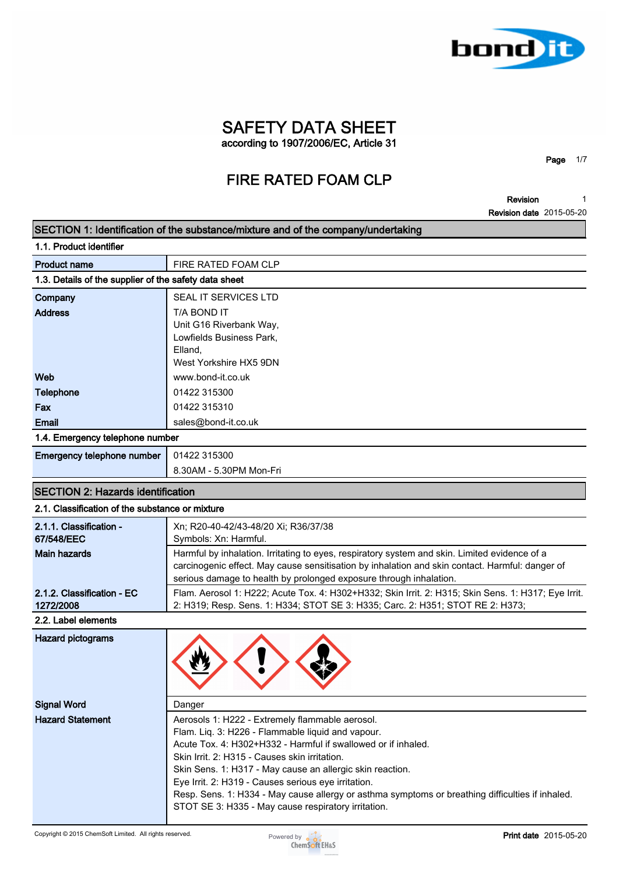

**Revision 1**

**Page 1/7**

|                                                       | <b>Revision date</b> 2015-05-20                                                                                                                                                                                                                                                                                                                                                                                                                                                                       |
|-------------------------------------------------------|-------------------------------------------------------------------------------------------------------------------------------------------------------------------------------------------------------------------------------------------------------------------------------------------------------------------------------------------------------------------------------------------------------------------------------------------------------------------------------------------------------|
|                                                       | SECTION 1: Identification of the substance/mixture and of the company/undertaking                                                                                                                                                                                                                                                                                                                                                                                                                     |
| 1.1. Product identifier                               |                                                                                                                                                                                                                                                                                                                                                                                                                                                                                                       |
| <b>Product name</b>                                   | FIRE RATED FOAM CLP                                                                                                                                                                                                                                                                                                                                                                                                                                                                                   |
| 1.3. Details of the supplier of the safety data sheet |                                                                                                                                                                                                                                                                                                                                                                                                                                                                                                       |
| Company                                               | <b>SEAL IT SERVICES LTD</b>                                                                                                                                                                                                                                                                                                                                                                                                                                                                           |
| <b>Address</b>                                        | T/A BOND IT<br>Unit G16 Riverbank Way,<br>Lowfields Business Park,                                                                                                                                                                                                                                                                                                                                                                                                                                    |
|                                                       | Elland,<br>West Yorkshire HX5 9DN                                                                                                                                                                                                                                                                                                                                                                                                                                                                     |
| Web                                                   | www.bond-it.co.uk                                                                                                                                                                                                                                                                                                                                                                                                                                                                                     |
| <b>Telephone</b>                                      | 01422 315300                                                                                                                                                                                                                                                                                                                                                                                                                                                                                          |
| Fax                                                   | 01422 315310                                                                                                                                                                                                                                                                                                                                                                                                                                                                                          |
| <b>Email</b>                                          | sales@bond-it.co.uk                                                                                                                                                                                                                                                                                                                                                                                                                                                                                   |
| 1.4. Emergency telephone number                       |                                                                                                                                                                                                                                                                                                                                                                                                                                                                                                       |
| Emergency telephone number                            | 01422 315300                                                                                                                                                                                                                                                                                                                                                                                                                                                                                          |
|                                                       | 8.30AM - 5.30PM Mon-Fri                                                                                                                                                                                                                                                                                                                                                                                                                                                                               |
|                                                       |                                                                                                                                                                                                                                                                                                                                                                                                                                                                                                       |
| <b>SECTION 2: Hazards identification</b>              |                                                                                                                                                                                                                                                                                                                                                                                                                                                                                                       |
| 2.1. Classification of the substance or mixture       |                                                                                                                                                                                                                                                                                                                                                                                                                                                                                                       |
| 2.1.1. Classification -<br>67/548/EEC                 | Xn; R20-40-42/43-48/20 Xi; R36/37/38<br>Symbols: Xn: Harmful.                                                                                                                                                                                                                                                                                                                                                                                                                                         |
| <b>Main hazards</b>                                   | Harmful by inhalation. Irritating to eyes, respiratory system and skin. Limited evidence of a<br>carcinogenic effect. May cause sensitisation by inhalation and skin contact. Harmful: danger of<br>serious damage to health by prolonged exposure through inhalation.                                                                                                                                                                                                                                |
| 2.1.2. Classification - EC<br>1272/2008               | Flam. Aerosol 1: H222; Acute Tox. 4: H302+H332; Skin Irrit. 2: H315; Skin Sens. 1: H317; Eye Irrit.<br>2: H319; Resp. Sens. 1: H334; STOT SE 3: H335; Carc. 2: H351; STOT RE 2: H373;                                                                                                                                                                                                                                                                                                                 |
| 2.2. Label elements                                   |                                                                                                                                                                                                                                                                                                                                                                                                                                                                                                       |
| <b>Hazard pictograms</b>                              |                                                                                                                                                                                                                                                                                                                                                                                                                                                                                                       |
| <b>Signal Word</b>                                    | Danger                                                                                                                                                                                                                                                                                                                                                                                                                                                                                                |
| <b>Hazard Statement</b>                               | Aerosols 1: H222 - Extremely flammable aerosol.<br>Flam. Liq. 3: H226 - Flammable liquid and vapour.<br>Acute Tox. 4: H302+H332 - Harmful if swallowed or if inhaled.<br>Skin Irrit. 2: H315 - Causes skin irritation.<br>Skin Sens. 1: H317 - May cause an allergic skin reaction.<br>Eye Irrit. 2: H319 - Causes serious eye irritation.<br>Resp. Sens. 1: H334 - May cause allergy or asthma symptoms or breathing difficulties if inhaled.<br>STOT SE 3: H335 - May cause respiratory irritation. |

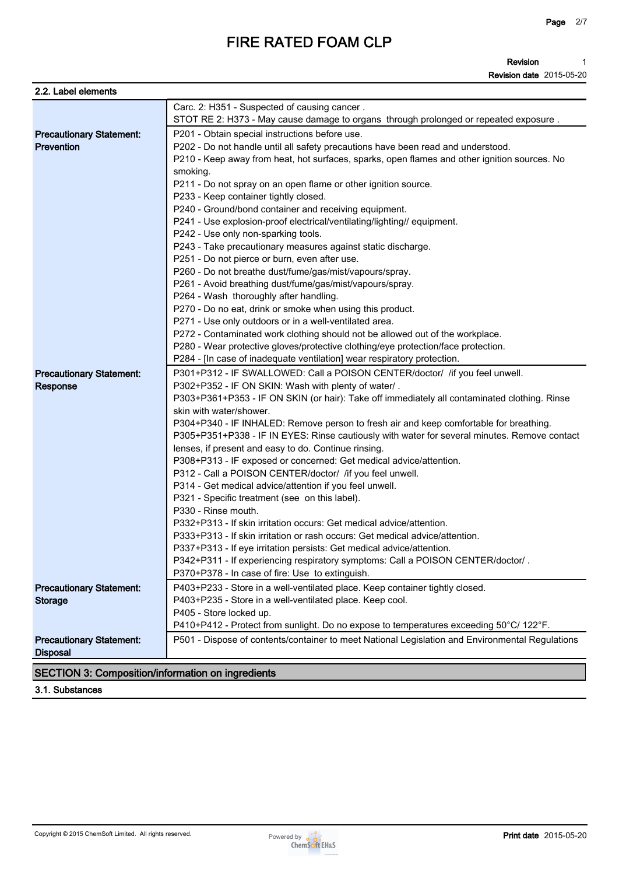**Revision Revision date 2015-05-20 1**

| 2.2. Label elements                                      |                                                                                                                                      |
|----------------------------------------------------------|--------------------------------------------------------------------------------------------------------------------------------------|
|                                                          | Carc. 2: H351 - Suspected of causing cancer.<br>STOT RE 2: H373 - May cause damage to organs through prolonged or repeated exposure. |
|                                                          | P201 - Obtain special instructions before use.                                                                                       |
| <b>Precautionary Statement:</b><br><b>Prevention</b>     | P202 - Do not handle until all safety precautions have been read and understood.                                                     |
|                                                          | P210 - Keep away from heat, hot surfaces, sparks, open flames and other ignition sources. No                                         |
|                                                          | smoking.                                                                                                                             |
|                                                          | P211 - Do not spray on an open flame or other ignition source.                                                                       |
|                                                          | P233 - Keep container tightly closed.                                                                                                |
|                                                          | P240 - Ground/bond container and receiving equipment.                                                                                |
|                                                          | P241 - Use explosion-proof electrical/ventilating/lighting// equipment.                                                              |
|                                                          | P242 - Use only non-sparking tools.                                                                                                  |
|                                                          | P243 - Take precautionary measures against static discharge.                                                                         |
|                                                          | P251 - Do not pierce or burn, even after use.                                                                                        |
|                                                          | P260 - Do not breathe dust/fume/gas/mist/vapours/spray.                                                                              |
|                                                          | P261 - Avoid breathing dust/fume/gas/mist/vapours/spray.                                                                             |
|                                                          | P264 - Wash thoroughly after handling.                                                                                               |
|                                                          | P270 - Do no eat, drink or smoke when using this product.                                                                            |
|                                                          | P271 - Use only outdoors or in a well-ventilated area.                                                                               |
|                                                          | P272 - Contaminated work clothing should not be allowed out of the workplace.                                                        |
|                                                          | P280 - Wear protective gloves/protective clothing/eye protection/face protection.                                                    |
|                                                          | P284 - [In case of inadequate ventilation] wear respiratory protection.                                                              |
| <b>Precautionary Statement:</b>                          | P301+P312 - IF SWALLOWED: Call a POISON CENTER/doctor/ /if you feel unwell.                                                          |
| Response                                                 | P302+P352 - IF ON SKIN: Wash with plenty of water/.                                                                                  |
|                                                          | P303+P361+P353 - IF ON SKIN (or hair): Take off immediately all contaminated clothing. Rinse                                         |
|                                                          | skin with water/shower.                                                                                                              |
|                                                          | P304+P340 - IF INHALED: Remove person to fresh air and keep comfortable for breathing.                                               |
|                                                          | P305+P351+P338 - IF IN EYES: Rinse cautiously with water for several minutes. Remove contact                                         |
|                                                          | lenses, if present and easy to do. Continue rinsing.                                                                                 |
|                                                          | P308+P313 - IF exposed or concerned: Get medical advice/attention.                                                                   |
|                                                          | P312 - Call a POISON CENTER/doctor/ /if you feel unwell.                                                                             |
|                                                          | P314 - Get medical advice/attention if you feel unwell.                                                                              |
|                                                          | P321 - Specific treatment (see on this label).                                                                                       |
|                                                          | P330 - Rinse mouth.                                                                                                                  |
|                                                          | P332+P313 - If skin irritation occurs: Get medical advice/attention.                                                                 |
|                                                          | P333+P313 - If skin irritation or rash occurs: Get medical advice/attention.                                                         |
|                                                          | P337+P313 - If eye irritation persists: Get medical advice/attention.                                                                |
|                                                          | P342+P311 - If experiencing respiratory symptoms: Call a POISON CENTER/doctor/.                                                      |
|                                                          | P370+P378 - In case of fire: Use to extinguish.                                                                                      |
| <b>Precautionary Statement:</b>                          | P403+P233 - Store in a well-ventilated place. Keep container tightly closed.                                                         |
| <b>Storage</b>                                           | P403+P235 - Store in a well-ventilated place. Keep cool.                                                                             |
|                                                          | P405 - Store locked up.                                                                                                              |
|                                                          | P410+P412 - Protect from sunlight. Do no expose to temperatures exceeding 50°C/ 122°F.                                               |
| <b>Precautionary Statement:</b><br><b>Disposal</b>       | P501 - Dispose of contents/container to meet National Legislation and Environmental Regulations                                      |
| <b>SECTION 3: Composition/information on ingredients</b> |                                                                                                                                      |
|                                                          |                                                                                                                                      |

**3.1. Substances**

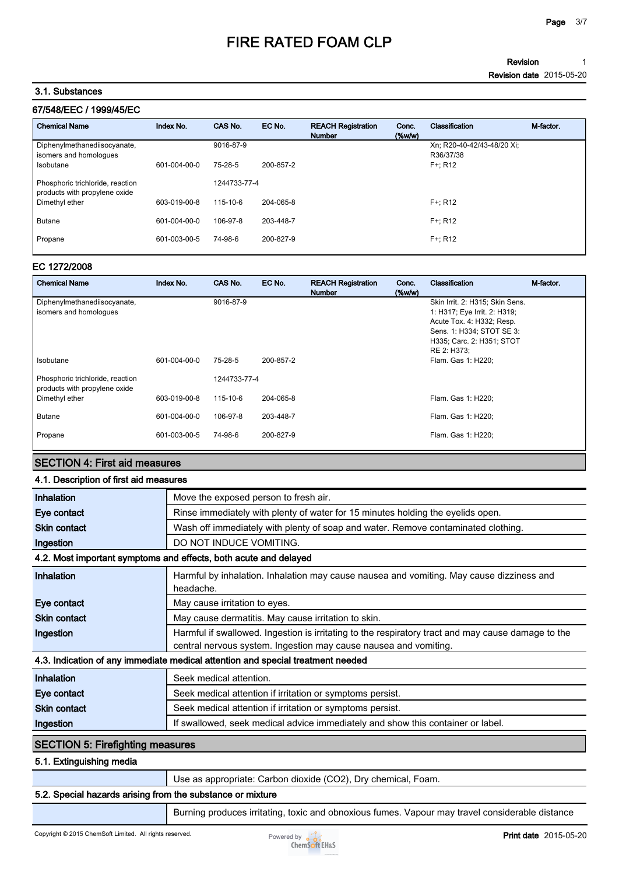#### **Revision Revision date 2015-05-20 1**

#### **3.1. Substances**

| 67/548/EEC / 1999/45/EC |  |
|-------------------------|--|
|                         |  |

| <b>Chemical Name</b>                                              | Index No.    | CAS No.      | EC No.    | <b>REACH Registration</b><br><b>Number</b> | Conc.<br>$(\%w/w)$ | Classification                          | M-factor |
|-------------------------------------------------------------------|--------------|--------------|-----------|--------------------------------------------|--------------------|-----------------------------------------|----------|
| Diphenylmethanediisocyanate,<br>isomers and homologues            |              | 9016-87-9    |           |                                            |                    | Xn: R20-40-42/43-48/20 Xi:<br>R36/37/38 |          |
| Isobutane                                                         | 601-004-00-0 | 75-28-5      | 200-857-2 |                                            |                    | $F + R12$                               |          |
| Phosphoric trichloride, reaction<br>products with propylene oxide |              | 1244733-77-4 |           |                                            |                    |                                         |          |
| Dimethyl ether                                                    | 603-019-00-8 | 115-10-6     | 204-065-8 |                                            |                    | $F + R12$                               |          |
| <b>Butane</b>                                                     | 601-004-00-0 | 106-97-8     | 203-448-7 |                                            |                    | $F + R12$                               |          |
| Propane                                                           | 601-003-00-5 | 74-98-6      | 200-827-9 |                                            |                    | $F + R12$                               |          |

#### **EC 1272/2008**

| <b>Chemical Name</b>                                              | Index No.    | CAS No.      | EC No.    | <b>REACH Registration</b><br><b>Number</b> | Conc.<br>$(\%w/w)$ | Classification                  | M-factor. |
|-------------------------------------------------------------------|--------------|--------------|-----------|--------------------------------------------|--------------------|---------------------------------|-----------|
| Diphenylmethanediisocyanate,                                      |              | 9016-87-9    |           |                                            |                    | Skin Irrit. 2: H315; Skin Sens. |           |
| isomers and homologues                                            |              |              |           |                                            |                    | 1: H317; Eye Irrit. 2: H319;    |           |
|                                                                   |              |              |           |                                            |                    | Acute Tox. 4: H332; Resp.       |           |
|                                                                   |              |              |           |                                            |                    | Sens. 1: H334; STOT SE 3:       |           |
|                                                                   |              |              |           |                                            |                    | H335; Carc. 2: H351; STOT       |           |
|                                                                   |              |              |           |                                            |                    | RE 2: H373;                     |           |
| Isobutane                                                         | 601-004-00-0 | 75-28-5      | 200-857-2 |                                            |                    | Flam. Gas 1: H220;              |           |
| Phosphoric trichloride, reaction<br>products with propylene oxide |              | 1244733-77-4 |           |                                            |                    |                                 |           |
| Dimethyl ether                                                    | 603-019-00-8 | 115-10-6     | 204-065-8 |                                            |                    | Flam. Gas 1: H220;              |           |
| <b>Butane</b>                                                     | 601-004-00-0 | 106-97-8     | 203-448-7 |                                            |                    | Flam. Gas 1: H220;              |           |
| Propane                                                           | 601-003-00-5 | 74-98-6      | 200-827-9 |                                            |                    | Flam. Gas 1: H220;              |           |

### **SECTION 4: First aid measures**

### **4.1. Description of first aid measures**

| Inhalation                              | Move the exposed person to fresh air.                                                                                                                                  |
|-----------------------------------------|------------------------------------------------------------------------------------------------------------------------------------------------------------------------|
| Eye contact                             | Rinse immediately with plenty of water for 15 minutes holding the eyelids open.                                                                                        |
| <b>Skin contact</b>                     | Wash off immediately with plenty of soap and water. Remove contaminated clothing.                                                                                      |
| Ingestion                               | DO NOT INDUCE VOMITING.                                                                                                                                                |
|                                         | 4.2. Most important symptoms and effects, both acute and delayed                                                                                                       |
| Inhalation                              | Harmful by inhalation. Inhalation may cause nausea and vomiting. May cause dizziness and<br>headache.                                                                  |
| Eye contact                             | May cause irritation to eyes.                                                                                                                                          |
| <b>Skin contact</b>                     | May cause dermatitis. May cause irritation to skin.                                                                                                                    |
| Ingestion                               | Harmful if swallowed. Ingestion is irritating to the respiratory tract and may cause damage to the<br>central nervous system. Ingestion may cause nausea and vomiting. |
|                                         | 4.3. Indication of any immediate medical attention and special treatment needed                                                                                        |
| Inhalation                              | Seek medical attention.                                                                                                                                                |
| Eye contact                             | Seek medical attention if irritation or symptoms persist.                                                                                                              |
| <b>Skin contact</b>                     | Seek medical attention if irritation or symptoms persist.                                                                                                              |
| Ingestion                               | If swallowed, seek medical advice immediately and show this container or label.                                                                                        |
| <b>SECTION 5: Firefighting measures</b> |                                                                                                                                                                        |
| 5.1. Extinguishing media                |                                                                                                                                                                        |
|                                         | Use as appropriate: Carbon dioxide (CO2), Dry chemical, Foam.                                                                                                          |

### **5.2. Special hazards arising from the substance or mixture**

**Burning produces irritating, toxic and obnoxious fumes. Vapour may travel considerable distance** 

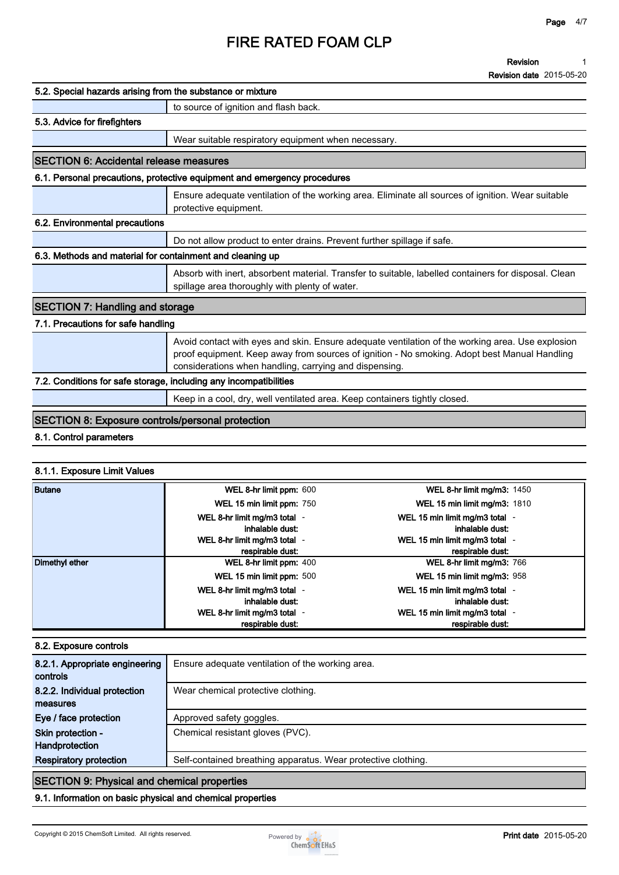#### **Revision 1**

**Revision date 2015-05-20**

| 5.2. Special hazards arising from the substance or mixture        |                                                                                                                                                                                                                                                            |  |  |  |
|-------------------------------------------------------------------|------------------------------------------------------------------------------------------------------------------------------------------------------------------------------------------------------------------------------------------------------------|--|--|--|
|                                                                   | to source of ignition and flash back.                                                                                                                                                                                                                      |  |  |  |
| 5.3. Advice for firefighters                                      |                                                                                                                                                                                                                                                            |  |  |  |
|                                                                   | Wear suitable respiratory equipment when necessary.                                                                                                                                                                                                        |  |  |  |
| <b>SECTION 6: Accidental release measures</b>                     |                                                                                                                                                                                                                                                            |  |  |  |
|                                                                   | 6.1. Personal precautions, protective equipment and emergency procedures                                                                                                                                                                                   |  |  |  |
|                                                                   | Ensure adequate ventilation of the working area. Eliminate all sources of ignition. Wear suitable<br>protective equipment.                                                                                                                                 |  |  |  |
| 6.2. Environmental precautions                                    |                                                                                                                                                                                                                                                            |  |  |  |
|                                                                   | Do not allow product to enter drains. Prevent further spillage if safe.                                                                                                                                                                                    |  |  |  |
| 6.3. Methods and material for containment and cleaning up         |                                                                                                                                                                                                                                                            |  |  |  |
|                                                                   | Absorb with inert, absorbent material. Transfer to suitable, labelled containers for disposal. Clean<br>spillage area thoroughly with plenty of water.                                                                                                     |  |  |  |
| <b>SECTION 7: Handling and storage</b>                            |                                                                                                                                                                                                                                                            |  |  |  |
| 7.1. Precautions for safe handling                                |                                                                                                                                                                                                                                                            |  |  |  |
|                                                                   | Avoid contact with eyes and skin. Ensure adequate ventilation of the working area. Use explosion<br>proof equipment. Keep away from sources of ignition - No smoking. Adopt best Manual Handling<br>considerations when handling, carrying and dispensing. |  |  |  |
| 7.2. Conditions for safe storage, including any incompatibilities |                                                                                                                                                                                                                                                            |  |  |  |
|                                                                   | Keep in a cool, dry, well ventilated area. Keep containers tightly closed.                                                                                                                                                                                 |  |  |  |
| <b>SECTION 8: Exposure controls/personal protection</b>           |                                                                                                                                                                                                                                                            |  |  |  |
|                                                                   |                                                                                                                                                                                                                                                            |  |  |  |

#### **8.1. Control parameters**

### **8.1.1. Exposure Limit Values**

| <b>Butane</b>  | WEL 8-hr limit ppm: 600      | <b>WEL 8-hr limit mg/m3: 1450</b>   |
|----------------|------------------------------|-------------------------------------|
|                | WEL 15 min limit ppm: 750    | <b>WEL 15 min limit mg/m3: 1810</b> |
|                | WEL 8-hr limit mg/m3 total - | WEL 15 min limit mg/m3 total -      |
|                | inhalable dust:              | inhalable dust:                     |
|                | WEL 8-hr limit mg/m3 total - | WEL 15 min limit mg/m3 total -      |
|                | respirable dust:             | respirable dust:                    |
| Dimethyl ether | WEL 8-hr limit ppm: 400      | WEL 8-hr limit mg/m3: 766           |
|                | WEL 15 min limit ppm: 500    | WEL 15 min limit mg/m3: 958         |
|                | WEL 8-hr limit mg/m3 total - | WEL 15 min limit mg/m3 total -      |
|                | inhalable dust:              | inhalable dust:                     |
|                | WEL 8-hr limit mg/m3 total - | WEL 15 min limit mg/m3 total -      |
|                | respirable dust:             | respirable dust:                    |

### **8.2. Exposure controls**

| 8.2.1. Appropriate engineering<br>controls         | Ensure adequate ventilation of the working area.              |  |
|----------------------------------------------------|---------------------------------------------------------------|--|
| 8.2.2. Individual protection<br>measures           | Wear chemical protective clothing.                            |  |
| Eye / face protection                              | Approved safety goggles.                                      |  |
| Skin protection -<br>Handprotection                | Chemical resistant gloves (PVC).                              |  |
| <b>Respiratory protection</b>                      | Self-contained breathing apparatus. Wear protective clothing. |  |
| <b>SECTION 9: Physical and chemical properties</b> |                                                               |  |

**9.1. Information on basic physical and chemical properties**

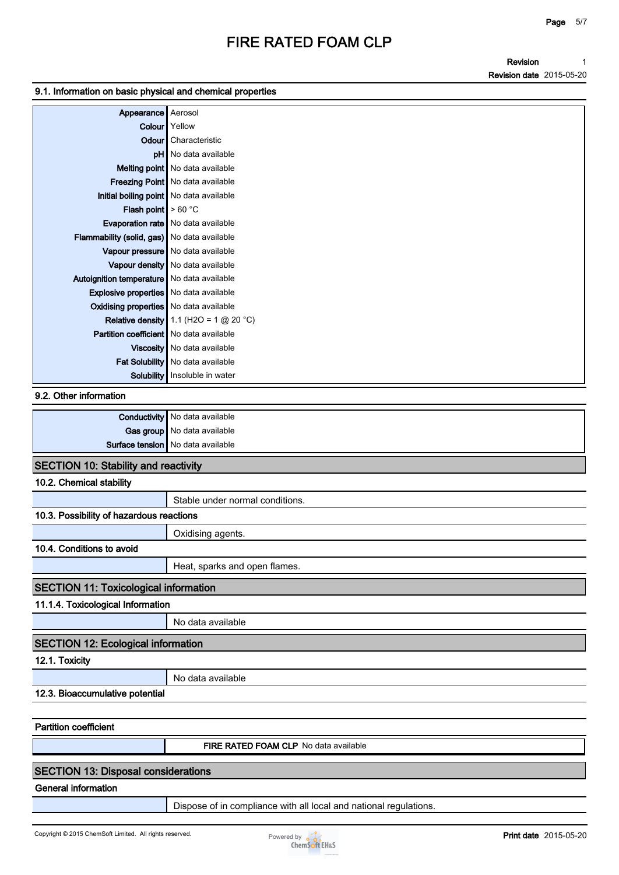**Revision Revision date 2015-05-20 1**

### **9.1. Information on basic physical and chemical properties**

| Appearance   Aerosol                          |                                                 |
|-----------------------------------------------|-------------------------------------------------|
|                                               |                                                 |
|                                               | Colour Yellow                                   |
|                                               | Odour Characteristic                            |
|                                               | pH   No data available                          |
|                                               | Melting point   No data available               |
|                                               | <b>Freezing Point</b> No data available         |
| Initial boiling point   No data available     |                                                 |
| <b>Flash point</b> $> 60^{\circ}$ C           |                                                 |
|                                               | <b>Evaporation rate</b> No data available       |
| Flammability (solid, gas) No data available   |                                                 |
|                                               | Vapour pressure   No data available             |
|                                               | Vapour density   No data available              |
| Autoignition temperature   No data available  |                                                 |
| <b>Explosive properties</b> No data available |                                                 |
| Oxidising properties No data available        |                                                 |
|                                               | <b>Relative density</b> 1.1 (H2O = 1 $@$ 20 °C) |
| Partition coefficient   No data available     |                                                 |
|                                               | Viscosity   No data available                   |
|                                               | Fat Solubility   No data available              |
|                                               | Solubility   Insoluble in water                 |

#### **9.2. Other information**

| <b>Conductivity</b> No data available |
|---------------------------------------|
| Gas group   No data available         |
| Surface tension   No data available   |
|                                       |

## **SECTION 10: Stability and reactivity**

### **10.2. Chemical stability**

|                                              | Stable under normal conditions. |  |
|----------------------------------------------|---------------------------------|--|
| 10.3. Possibility of hazardous reactions     |                                 |  |
|                                              | Oxidising agents.               |  |
| 10.4. Conditions to avoid                    |                                 |  |
|                                              | Heat, sparks and open flames.   |  |
| <b>SECTION 11: Toxicological information</b> |                                 |  |
| 11.1.4. Toxicological Information            |                                 |  |
|                                              | No data available               |  |
| <b>SECTION 12: Ecological information</b>    |                                 |  |

**12.1. Toxicity**

**No data available**

## **12.3. Bioaccumulative potential**

**Partition coefficient**

**FIRE RATED FOAM CLP No data available**

### **SECTION 13: Disposal considerations**

**General information**

**Dispose of in compliance with all local and national regulations.**

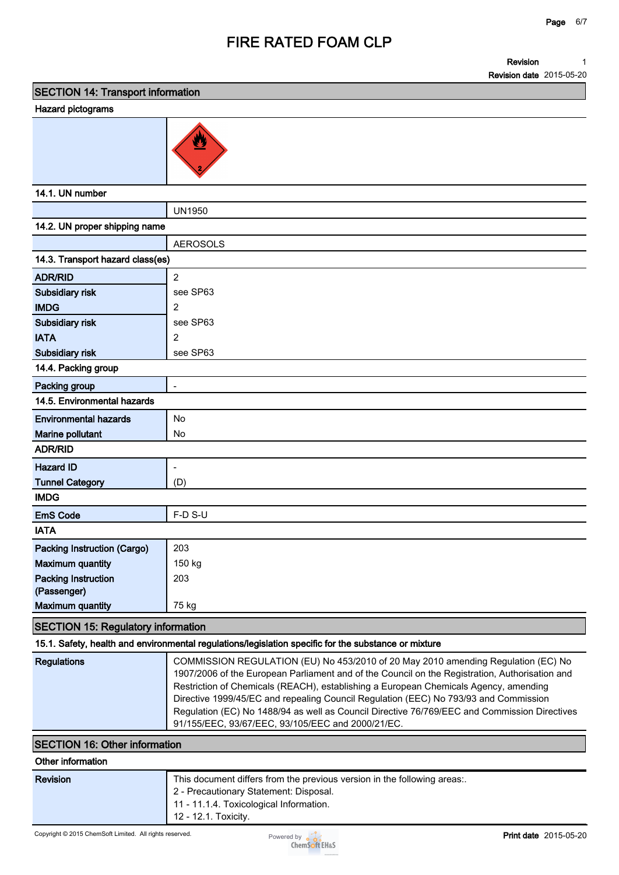**Revision Revision date 2015-05-20 1**

**SECTION 14: Transport information**

### **Hazard pictograms**



**14.1. UN number**

|                                  | <b>UN1950</b>                |  |  |
|----------------------------------|------------------------------|--|--|
| 14.2. UN proper shipping name    |                              |  |  |
|                                  | <b>AEROSOLS</b>              |  |  |
| 14.3. Transport hazard class(es) |                              |  |  |
| <b>ADR/RID</b>                   | $\overline{2}$               |  |  |
| Subsidiary risk                  | see SP63                     |  |  |
| <b>IMDG</b>                      | $\overline{2}$               |  |  |
| Subsidiary risk                  | see SP63                     |  |  |
| <b>IATA</b>                      | 2                            |  |  |
| Subsidiary risk                  | see SP63                     |  |  |
| 14.4. Packing group              |                              |  |  |
| Packing group                    | $\frac{1}{2}$                |  |  |
| 14.5. Environmental hazards      |                              |  |  |
| <b>Environmental hazards</b>     | No                           |  |  |
| Marine pollutant                 | No                           |  |  |
| <b>ADR/RID</b>                   |                              |  |  |
| <b>Hazard ID</b>                 | $\qquad \qquad \blacksquare$ |  |  |
| <b>Tunnel Category</b>           | (D)                          |  |  |
| <b>IMDG</b>                      |                              |  |  |
| <b>EmS Code</b>                  | F-D S-U                      |  |  |
| <b>IATA</b>                      |                              |  |  |
| Packing Instruction (Cargo)      | 203                          |  |  |
| <b>Maximum quantity</b>          | 150 kg                       |  |  |
| <b>Packing Instruction</b>       | 203                          |  |  |
| (Passenger)                      |                              |  |  |
| <b>Maximum quantity</b>          | 75 kg                        |  |  |

### **SECTION 15: Regulatory information**

#### **15.1. Safety, health and environmental regulations/legislation specific for the substance or mixture**

| Regulations | COMMISSION REGULATION (EU) No 453/2010 of 20 May 2010 amending Regulation (EC) No<br>1907/2006 of the European Parliament and of the Council on the Registration, Authorisation and<br>Restriction of Chemicals (REACH), establishing a European Chemicals Agency, amending<br>Directive 1999/45/EC and repealing Council Regulation (EEC) No 793/93 and Commission<br>Regulation (EC) No 1488/94 as well as Council Directive 76/769/EEC and Commission Directives<br>91/155/EEC, 93/67/EEC, 93/105/EEC and 2000/21/EC. |
|-------------|--------------------------------------------------------------------------------------------------------------------------------------------------------------------------------------------------------------------------------------------------------------------------------------------------------------------------------------------------------------------------------------------------------------------------------------------------------------------------------------------------------------------------|
|-------------|--------------------------------------------------------------------------------------------------------------------------------------------------------------------------------------------------------------------------------------------------------------------------------------------------------------------------------------------------------------------------------------------------------------------------------------------------------------------------------------------------------------------------|

### **SECTION 16: Other information**

| Revision | This document differs from the previous version in the following areas:. |
|----------|--------------------------------------------------------------------------|
|          | 2 - Precautionary Statement: Disposal.                                   |
|          | 11 - 11.1.4. Toxicological Information.                                  |
|          | 12 - 12.1. Toxicity.                                                     |
|          |                                                                          |